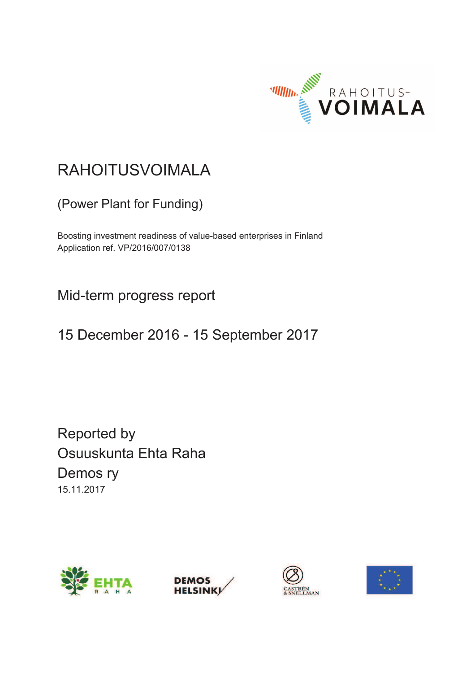

# RAHOITUSVOIMALA

(Power Plant for Funding)

Boosting investment readiness of value-based enterprises in Finland Application ref. VP/2016/007/0138

Mid-term progress report

15 December 2016 - 15 September 2017

Reported by Osuuskunta Ehta Raha Demos ry 15.11.2017







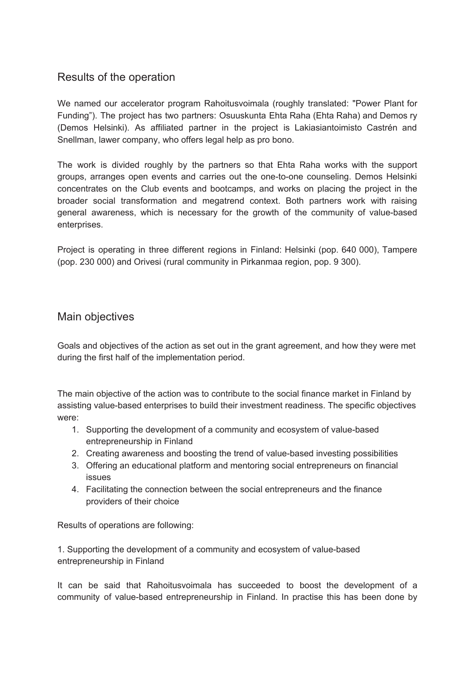# Results of the operation

We named our accelerator program Rahoitusvoimala (roughly translated: "Power Plant for Funding"). The project has two partners: Osuuskunta Ehta Raha (Ehta Raha) and Demos ry (Demos Helsinki). As affiliated partner in the project is Lakiasiantoimisto Castrén and Snellman, lawer company, who offers legal help as pro bono.

The work is divided roughly by the partners so that Ehta Raha works with the support groups, arranges open events and carries out the one-to-one counseling. Demos Helsinki concentrates on the Club events and bootcamps, and works on placing the project in the broader social transformation and megatrend context. Both partners work with raising general awareness, which is necessary for the growth of the community of value-based enterprises.

Project is operating in three different regions in Finland: Helsinki (pop. 640 000), Tampere (pop. 230 000) and Orivesi (rural community in Pirkanmaa region, pop. 9 300).

## Main objectives

Goals and objectives of the action as set out in the grant agreement, and how they were met during the first half of the implementation period.

The main objective of the action was to contribute to the social finance market in Finland by assisting value-based enterprises to build their investment readiness. The specific objectives were:

- 1. Supporting the development of a community and ecosystem of value-based entrepreneurship in Finland
- 2. Creating awareness and boosting the trend of value-based investing possibilities
- 3. Offering an educational platform and mentoring social entrepreneurs on financial issues
- 4. Facilitating the connection between the social entrepreneurs and the finance providers of their choice

Results of operations are following:

1. Supporting the development of a community and ecosystem of value-based entrepreneurship in Finland

It can be said that Rahoitusvoimala has succeeded to boost the development of a community of value-based entrepreneurship in Finland. In practise this has been done by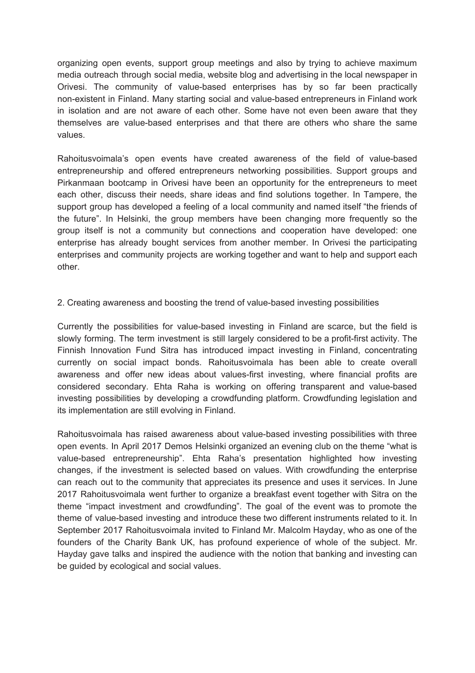organizing open events, support group meetings and also by trying to achieve maximum media outreach through social media, website blog and advertising in the local newspaper in Orivesi. The community of value-based enterprises has by so far been practically non-existent in Finland. Many starting social and value-based entrepreneurs in Finland work in isolation and are not aware of each other. Some have not even been aware that they themselves are value-based enterprises and that there are others who share the same values.

Rahoitusvoimala's open events have created awareness of the field of value-based entrepreneurship and offered entrepreneurs networking possibilities. Support groups and Pirkanmaan bootcamp in Orivesi have been an opportunity for the entrepreneurs to meet each other, discuss their needs, share ideas and find solutions together. In Tampere, the support group has developed a feeling of a local community and named itself "the friends of the future". In Helsinki, the group members have been changing more frequently so the group itself is not a community but connections and cooperation have developed: one enterprise has already bought services from another member. In Orivesi the participating enterprises and community projects are working together and want to help and support each other.

#### 2. Creating awareness and boosting the trend of value-based investing possibilities

Currently the possibilities for value-based investing in Finland are scarce, but the field is slowly forming. The term investment is still largely considered to be a profit-first activity. The Finnish Innovation Fund Sitra has introduced impact investing in Finland, concentrating currently on social impact bonds. Rahoitusvoimala has been able to create overall awareness and offer new ideas about values-first investing, where financial profits are considered secondary. Ehta Raha is working on offering transparent and value-based investing possibilities by developing a crowdfunding platform. Crowdfunding legislation and its implementation are still evolving in Finland.

Rahoitusvoimala has raised awareness about value-based investing possibilities with three open events. In April 2017 Demos Helsinki organized an evening club on the theme "what is value-based entrepreneurship". Ehta Raha's presentation highlighted how investing changes, if the investment is selected based on values. With crowdfunding the enterprise can reach out to the community that appreciates its presence and uses it services. In June 2017 Rahoitusvoimala went further to organize a breakfast event together with Sitra on the theme "impact investment and crowdfunding". The goal of the event was to promote the theme of value-based investing and introduce these two different instruments related to it. In September 2017 Rahoitusvoimala invited to Finland Mr. Malcolm Hayday, who as one of the founders of the Charity Bank UK, has profound experience of whole of the subject. Mr. Hayday gave talks and inspired the audience with the notion that banking and investing can be guided by ecological and social values.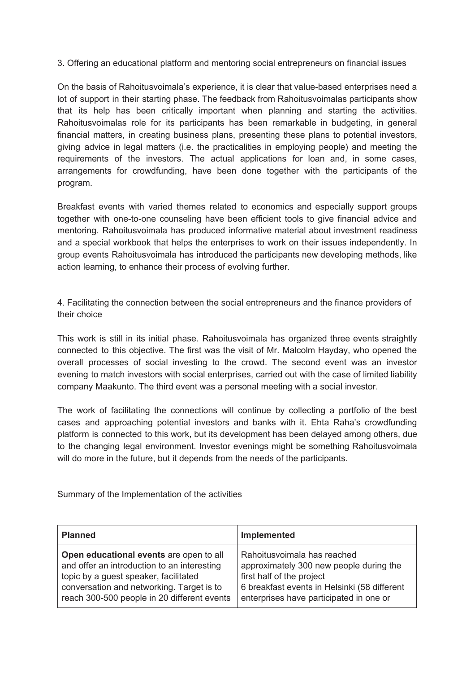3. Offering an educational platform and mentoring social entrepreneurs on financial issues

On the basis of Rahoitusvoimala's experience, it is clear that va lue-based enterprises need a lot of support in their starting phase. The feedback from Rahoitusvoimalas participants show that its help has been critically important when planning and starting the activities. Rahoitusvoimalas role for its participants has been remarkable in budgeting, in general financial matters, in creating business plans, presenting these plans to potential investors, giving advice in legal matters (i.e. the practicalities in e mploying people) and meeting the requirements of the investors. The actual applications for loan and, in some cases, arrangements for crowdfunding, have been done together with the participants of the program.

Breakfast events with varied themes related to economics and especially support groups together with one-to-one counseling have been efficient tools to give financial advice and mentoring. Rahoitusvoimala has produced informative material about investment readiness and a special workbook that helps the enterprises to work on their issues independently. In group events Rahoitusvoimala has introduced the participants new developing methods, like action learning, to enhance their process of evolving further.

4. Facilitating the connection between the social entrepreneurs and the finance providers of their choice

This work is still in its initial phase. Rahoitusvoimala has organized three events straightly connected to this objective. The first was the visit of Mr. Malcolm Hayday, who opened the overall processes of social investing to the crowd. The second event was an investor evening to match investors with social enterprises, carried out with the case of limited liability company Maakunto. The third event was a personal meeting with a social investor.

The work of facilitating the connections will continue by collecting a portfolio of the best cases and approaching potential investors and banks with it. Ehta Raha's crowdfunding platform is connected to this work, but its development has been delayed among others, due to the changing legal environment. Investor evenings might be something Rahoitusvoimala will do more in the future, but it depends from the needs of the participants.

Summary of the Implementation of the activities

| <b>Planned</b>                              | Implemented                                  |
|---------------------------------------------|----------------------------------------------|
| Open educational events are open to all     | Rahoitusvoimala has reached                  |
| and offer an introduction to an interesting | approximately 300 new people during the      |
| topic by a guest speaker, facilitated       | first half of the project                    |
| conversation and networking. Target is to   | 6 breakfast events in Helsinki (58 different |
| reach 300-500 people in 20 different events | enterprises have participated in one or      |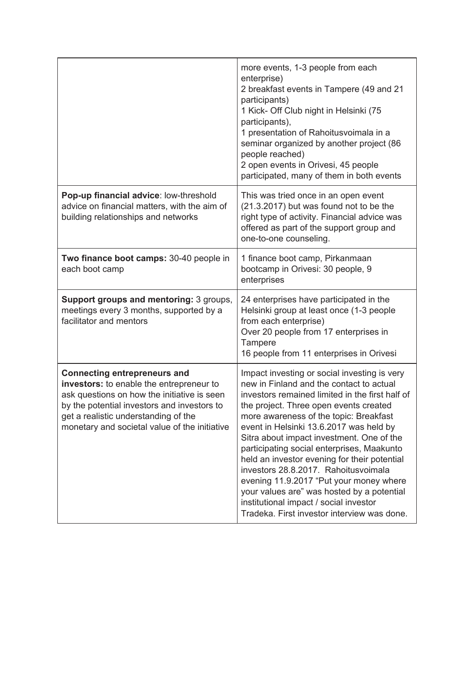|                                                                                                                                                                                                                                                                        | more events, 1-3 people from each<br>enterprise)<br>2 breakfast events in Tampere (49 and 21<br>participants)<br>1 Kick- Off Club night in Helsinki (75<br>participants),<br>1 presentation of Rahoitusvoimala in a<br>seminar organized by another project (86<br>people reached)<br>2 open events in Orivesi, 45 people<br>participated, many of them in both events                                                                                                                                                                                                                                                                          |
|------------------------------------------------------------------------------------------------------------------------------------------------------------------------------------------------------------------------------------------------------------------------|-------------------------------------------------------------------------------------------------------------------------------------------------------------------------------------------------------------------------------------------------------------------------------------------------------------------------------------------------------------------------------------------------------------------------------------------------------------------------------------------------------------------------------------------------------------------------------------------------------------------------------------------------|
| Pop-up financial advice: low-threshold<br>advice on financial matters, with the aim of<br>building relationships and networks                                                                                                                                          | This was tried once in an open event<br>(21.3.2017) but was found not to be the<br>right type of activity. Financial advice was<br>offered as part of the support group and<br>one-to-one counseling.                                                                                                                                                                                                                                                                                                                                                                                                                                           |
| Two finance boot camps: 30-40 people in<br>each boot camp                                                                                                                                                                                                              | 1 finance boot camp, Pirkanmaan<br>bootcamp in Orivesi: 30 people, 9<br>enterprises                                                                                                                                                                                                                                                                                                                                                                                                                                                                                                                                                             |
| Support groups and mentoring: 3 groups,<br>meetings every 3 months, supported by a<br>facilitator and mentors                                                                                                                                                          | 24 enterprises have participated in the<br>Helsinki group at least once (1-3 people<br>from each enterprise)<br>Over 20 people from 17 enterprises in<br>Tampere<br>16 people from 11 enterprises in Orivesi                                                                                                                                                                                                                                                                                                                                                                                                                                    |
| <b>Connecting entrepreneurs and</b><br>investors: to enable the entrepreneur to<br>ask questions on how the initiative is seen<br>by the potential investors and investors to<br>get a realistic understanding of the<br>monetary and societal value of the initiative | Impact investing or social investing is very<br>new in Finland and the contact to actual<br>investors remained limited in the first half of<br>the project. Three open events created<br>more awareness of the topic: Breakfast<br>event in Helsinki 13.6.2017 was held by<br>Sitra about impact investment. One of the<br>participating social enterprises, Maakunto<br>held an investor evening for their potential<br>investors 28.8.2017. Rahoitusvoimala<br>evening 11.9.2017 "Put your money where<br>your values are" was hosted by a potential<br>institutional impact / social investor<br>Tradeka. First investor interview was done. |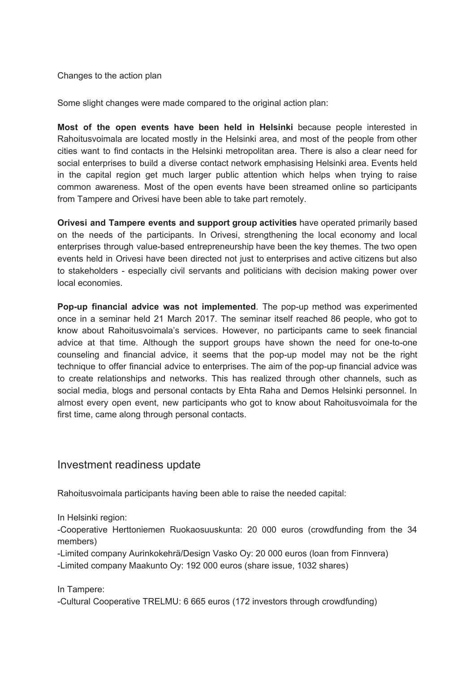Changes to the action plan

Some slight changes were made compared to the original action plan:

**Most of the open events have been held in Helsinki** because people interested in Rahoitusvoimala are located mostly in the Helsinki area, and most of the people from other cities want to find contacts in the Helsinki metropolitan area. There is also a clear need for social enterprises to build a diverse contact network emphasising Helsinki area. Events held in the capital region get much larger public attention which helps when trying to raise common awareness. Most of the open events have been streamed online so participants from Tampere and Orivesi have been able to take part remotely.

**Orivesi and Tampere events and support group activities** have operated primarily based on the needs of the participants. In Orivesi, strengthening the local economy and local enterprises through value-based entrepreneurship have been the key themes. The two open events held in Orivesi have been directed not just to enterprises and active citizens but also to stakeholders - especially civil servants and politicians with decision making power over local economies.

**Pop-up financial advice was not implemented** . The pop-up method was experimented once in a seminar held 21 March 2017. The seminar itself reached 86 people, who got to know about Rahoitusvoimala's services. However, no participants came to seek financial advice at that time. Although the support groups have shown the need for one-to-one counseling and financial advice, it seems that the pop-up model may not be the right technique to offer financial advice to enterprises. The aim of the pop-up financial advice was to create relationships and networks. This has realized through other channels, such as social media, blogs and personal contacts by Ehta Raha and Demos Helsinki personnel. In almost every open event, new participants who got to know about Rahoitusvoimala for the first time, came along through personal contacts.

### Investment readiness update

Rahoitusvoimala participants having been able to raise the needed capital:

In Helsinki region:

-Cooperative Herttoniemen Ruokaosuuskunta: 20 000 euros (crowdfunding from the 34 members)

-Limited company Aurinkokehrä/Design Vasko Oy: 20 000 euros (loan from Finnvera) -Limited company Maakunto Oy: 192 000 euros (share issue, 1032 shares)

In Tampere:

-Cultural Cooperative TRELMU: 6 665 euros (172 investors through crowdfunding)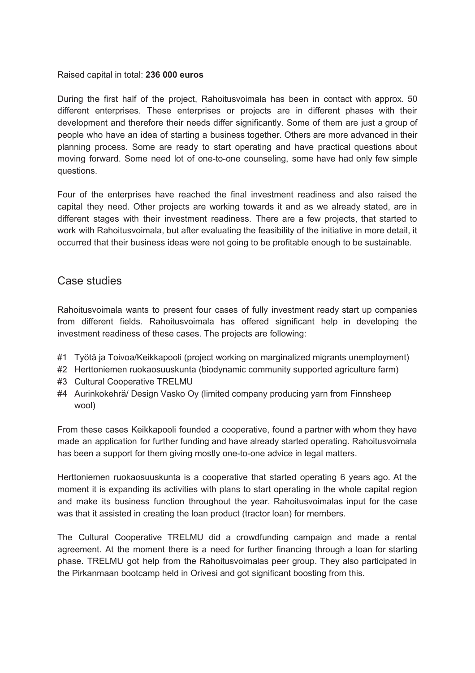#### Raised capital in total: **236 000 euros**

During the first half of the project, Rahoitus voimala has been in contact with approx. 50 different enterprises. These enterprises or projects are in different phases with their development and therefore their needs differ significantly. Some of them are just a group of people who have an idea of starting a business together. Others are more advanced in their planning process. Some are ready to start operating and have practical questions about moving forward. Some need lot of one-to-one counseling, some have had only few simple questions.

Four of the enterprises have reached the final investment readines s and also raised the capital they need. Other projects are working towards it and as we already stated, are in different stages with their investment readiness. There are a few projects, that started to work with Rahoitusvoimala, but after evaluating the feasibility of the initiative in more detail, it occurred that their business ideas were not going to be profitable enough to be sustainable.

#### Case studies

Rahoitusvoimala wants to present four cases of fully investment ready start up companies from different fields. Rahoitusvoimala has offered significant help in developing the investment readiness of these cases. The projects are following:

- #1 Työtä ja Toivoa/Keikkapooli (project working on marginalized migrants unemployment)
- #2 Herttoniemen ruokaosuuskunta (biodynamic community supported agriculture farm)
- #3 Cultural Cooperative TRELMU
- #4 Aurinkokehrä/ Design Vasko Oy (limited company producing yarn from Finnsheep wool)

From these cases Keikkapooli founded a cooperative, found a partner with whom they have made an application for further funding and have already started operating. Rahoitusvoimala has been a support for them giving mostly one-to-one advice in legal matters.

Herttoniemen ruokaosuuskunta is a cooperative that started operating 6 years ago. At the moment it is expanding its activities with plans to start operating in the whole capital region and make its business function throughout the year. Rahoitus voimalas input for the case was that it assisted in creating the loan product (tractor loan) for members.

The Cultural Cooperative TRELMU did a crowdfunding campaign and made a rental agreement. At the moment there is a need for further financing through a loan for starting phase. TRELMU got help from the Rahoitusvoimalas peer group. They also participated in the Pirkanmaan bootcamp held in Orivesi and got significant boosting from this.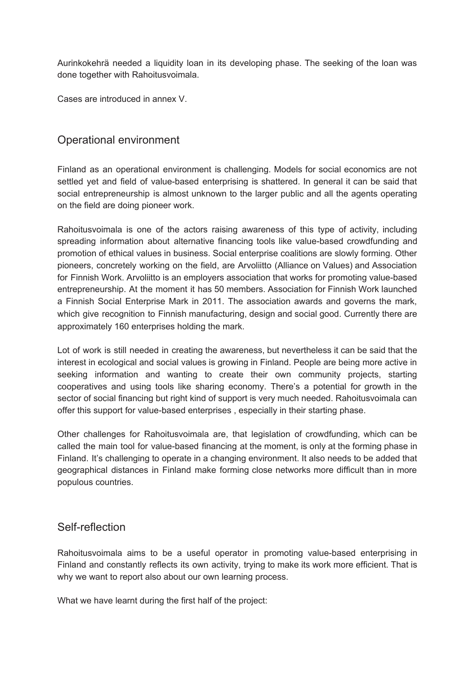Aurinkokehrä needed a liquidity loan in its developing phase. The seeking of the loan was done together with Rahoitusvoimala.

Cases are introduced in annex V.

# Operational environment

Finland as an operational environment is challenging. Models for social economics are not settled yet and field of value-based enterprising is shattered. In general it can be said that social entrepreneurship is almost unknown to the larger public and all the agents operating on the field are doing pioneer work.

Rahoitusvoimala is one of the actors raising awareness of this type of activity, including spreading information about alternative financing tools like value-based crowdfunding and promotion of ethical values in business. Social enterprise coalitions are slowly forming. Other pioneers, concretely working on the field, are Arvoliitto (Alliance on Values) and Association for Finnish Work. Arvoliitto is an employers association that works for promoting value-based entrepreneurship. At the moment it has 50 members. Association for Finnish Work launched a Finnish Social Enterprise Mark in 2011. The association awards and governs the mark, which give recognition to Finnish manufacturing, design and social good. Currently there are approximately 160 enterprises holding the mark.

Lot of work is still needed in creating the awareness, but nevertheless it can be said that the interest in ecological and social values is growing in Finland. People are being more active in seeking information and wanting to create their own community projects, starting cooperatives and using tools like sharing economy. There's a potential for growth in the sector of social financing but right kind of support is very much needed. Rahoitusvoimala can offer this support for value-based enterprises , especially in their starting phase.

Other challenges for Rahoitusvoimala are, that legislation of crow dfunding, which can be called the main tool for value-based financing at the moment, is only at the forming phase in Finland. It's challenging to operate in a changing environment. It also needs to be added that geographical distances in Finland make forming close networks more difficult than in more populous countries.

## Self-reflection

Rahoitusvoimala aims to be a useful operator in promoting value-based enterprising in Finland and constantly reflects its own activity, trying to make its work more efficient. That is why we want to report also about our own learning process.

What we have learnt during the first half of the project: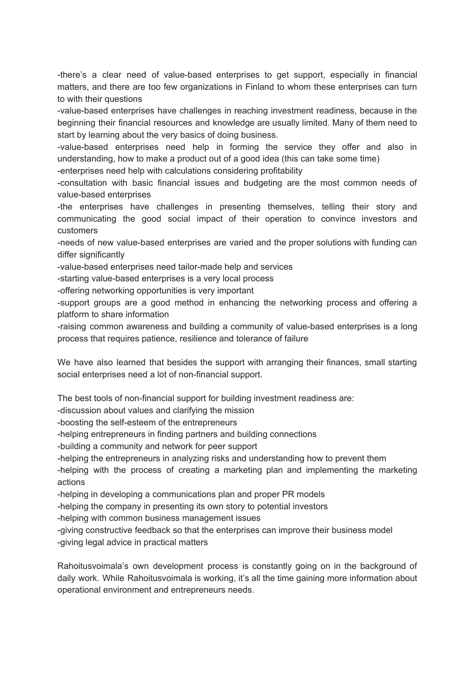-there's a clear need of value-based enterprises to get support, especially in financial matters, and there are too few organizations in Finland to whom these enterprises can turn to with their questions

-value-based enterprises have challenges in reaching inve stment readiness, because in the beginning their financial resources and knowledge are usually limited. Many of them need to start by learning about the very basics of doing business.

-value-based enterprises need help in forming the service they offer and also in understanding, how to make a product out of a good idea (this can take some time)

-enterprises need help with calculations considering profitability

-consultation with basic financial issues and budgeting are the most common needs of value-based enterprises

-the enterprises have challenges in presenting themselves, telling their story and communicating the good social impact of their operation to convince investors and customers

-needs of new value-based enterprises are varied and the proper solutions with funding can differ significantly

-value-based enterprises need tailor-made help and services

-starting value-based enterprises is a very local process

-offering networking opportunities is very important

-support groups are a good method in enhancing the networking process and offering a platform to share information

-raising common awareness and building a community of value-based enterprises is a long process that requires patience, resilience and tolerance of failure

We have also learned that besides the support with arranging their finances, small starting social enterprises need a lot of non-financial support.

The best tools of non-financial support for building investment readiness are:

-discussion about values and clarifying the mission

-boosting the self-esteem of the entrepreneurs

-helping entrepreneurs in finding partners and building connections

-building a community and network for peer support

-helping the entrepreneurs in analyzing risks and understanding how to prevent them

-helping with the process of creating a marketing plan and implementing the marketing actions

-helping in developing a communications plan and proper PR models

-helping the company in presenting its own story to potential investors

-helping with common business management issues

-giving constructive feedback so that the enterprises can improve their business model -giving legal advice in practical matters

Rahoitusvoimala's own development process is constantly going on in the background of daily work. While Rahoitusvoimala is working, it's all the time gaining more information about operational environment and entrepreneurs needs.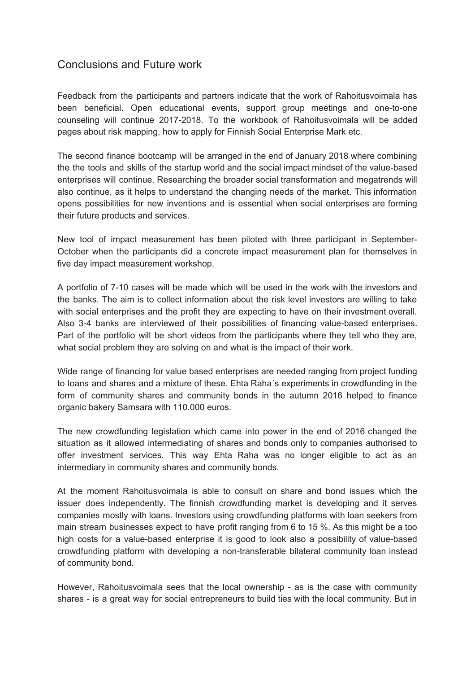# Conclusions and Future work

Feedback from the participants and partners indicate that the work of Rahoitusvoimala has been beneficial. Open educational events, support group meetings and one-to-one counseling will continue 2017-2018. To the workbook of Rahoitusvoimala will be added pages about risk mapping, how to apply for Finnish Social Enterprise Mark etc.

The second finance bootcamp will be arranged in the end of January 2018 where combining the the tools and skills of the startup world and the social impact mindset of the value-based enterprises will continue. Researching the broader social transformation and megatrends will also continue, as it helps to understand the changing needs of the market. This information opens possibilities for new inventions and is essential when social enterprises are forming their future products and services.

New tool of impact measurement has been piloted with three participant in September-October when the participants did a concrete impact measurement plan for themselves in five day impact measurement workshop.

A portfolio of 7-10 cases will be made which will be used in the work with the investors and the banks. The aim is to collect information about the risk level investors are willing to take with social enterprises and the profit they are expecting to have on their investment overall. Also 3-4 banks are interviewed of their possibilities of financing value-based enterprises. Part of the portfolio will be short videos from the participants where they tell who they are, what social problem they are solving on and what is the impact of their work.

Wide range of financing for value based enterprises are needed ranging from project funding to loans and shares and a mixture of these. Ehta Raha's experiments in crowdfunding in the form of community shares and community bonds in the autumn 2016 helped to finance organic bakery Samsara with 110.000 euros.

The new crowdfunding legislation which came into power in the end of 2016 changed the situation as it allowed intermediating of shares and bonds only to companies authorised to offer investment services. This way Ehta Raha was no longer eligible to act as an intermediary in community shares and community bonds.

At the moment Rahoitusvoimala is able to consult on share and bond issues which the issuer does independently. The finnish crowdfunding market is developing and it serves companies mostly with loans. Investors using crowdfunding platforms with loan seekers from main stream businesses expect to have profit ranging from 6 to 15 %. As this might be a too high costs for a value-based enterprise it is good to look also a possibility of value-based crowdfunding platform with developing a non-transferable bilateral community loan instead of community bond.

However, Rahoitusvoimala sees that the local ownership - as is the case with community shares - is a great way for social entrepreneurs to build ties with the local community. But in